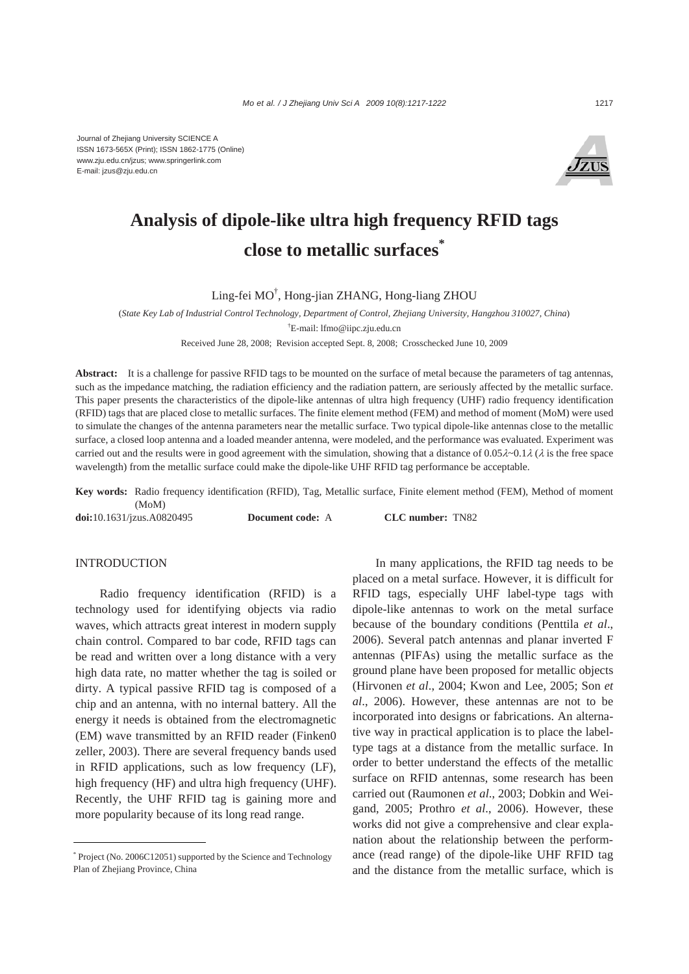Journal of Zhejiang University SCIENCE A ISSN 1673-565X (Print); ISSN 1862-1775 (Online) www.zju.edu.cn/jzus; www.springerlink.com E-mail: jzus@zju.edu.cn



# **Analysis of dipole-like ultra high frequency RFID tags close to metallic surfaces\***

Ling-fei MO† , Hong-jian ZHANG, Hong-liang ZHOU

(*State Key Lab of Industrial Control Technology, Department of Control, Zhejiang University, Hangzhou 310027, China*) † E-mail: lfmo@iipc.zju.edu.cn

Received June 28, 2008; Revision accepted Sept. 8, 2008; Crosschecked June 10, 2009

Abstract: It is a challenge for passive RFID tags to be mounted on the surface of metal because the parameters of tag antennas, such as the impedance matching, the radiation efficiency and the radiation pattern, are seriously affected by the metallic surface. This paper presents the characteristics of the dipole-like antennas of ultra high frequency (UHF) radio frequency identification (RFID) tags that are placed close to metallic surfaces. The finite element method (FEM) and method of moment (MoM) were used to simulate the changes of the antenna parameters near the metallic surface. Two typical dipole-like antennas close to the metallic surface, a closed loop antenna and a loaded meander antenna, were modeled, and the performance was evaluated. Experiment was carried out and the results were in good agreement with the simulation, showing that a distance of  $0.05\lambda \sim 0.1\lambda$  ( $\lambda$  is the free space wavelength) from the metallic surface could make the dipole-like UHF RFID tag performance be acceptable.

**Key words:** Radio frequency identification (RFID), Tag, Metallic surface, Finite element method (FEM), Method of moment (MoM)

**doi:**10.1631/jzus.A0820495 **Document code:** A **CLC number:** TN82

## INTRODUCTION

Radio frequency identification (RFID) is a technology used for identifying objects via radio waves, which attracts great interest in modern supply chain control. Compared to bar code, RFID tags can be read and written over a long distance with a very high data rate, no matter whether the tag is soiled or dirty. A typical passive RFID tag is composed of a chip and an antenna, with no internal battery. All the energy it needs is obtained from the electromagnetic (EM) wave transmitted by an RFID reader (Finken0 zeller, 2003). There are several frequency bands used in RFID applications, such as low frequency (LF), high frequency (HF) and ultra high frequency (UHF). Recently, the UHF RFID tag is gaining more and more popularity because of its long read range.

In many applications, the RFID tag needs to be placed on a metal surface. However, it is difficult for RFID tags, especially UHF label-type tags with dipole-like antennas to work on the metal surface because of the boundary conditions (Penttila *et al*., 2006). Several patch antennas and planar inverted F antennas (PIFAs) using the metallic surface as the ground plane have been proposed for metallic objects (Hirvonen *et al*., 2004; Kwon and Lee, 2005; Son *et al*., 2006). However, these antennas are not to be incorporated into designs or fabrications. An alternative way in practical application is to place the labeltype tags at a distance from the metallic surface. In order to better understand the effects of the metallic surface on RFID antennas, some research has been carried out (Raumonen *et al*., 2003; Dobkin and Weigand, 2005; Prothro *et al*., 2006). However, these works did not give a comprehensive and clear explanation about the relationship between the performance (read range) of the dipole-like UHF RFID tag and the distance from the metallic surface, which is

<sup>\*</sup> Project (No. 2006C12051) supported by the Science and Technology Plan of Zhejiang Province, China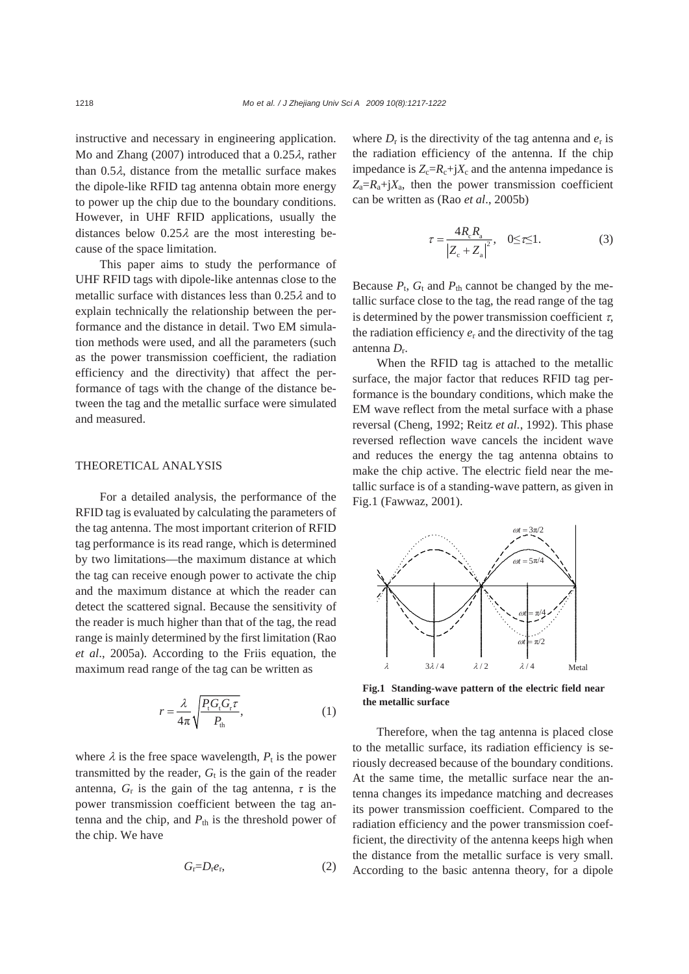instructive and necessary in engineering application. Mo and Zhang (2007) introduced that a 0.25λ, rather than  $0.5\lambda$ , distance from the metallic surface makes the dipole-like RFID tag antenna obtain more energy to power up the chip due to the boundary conditions. However, in UHF RFID applications, usually the distances below  $0.25\lambda$  are the most interesting because of the space limitation.

This paper aims to study the performance of UHF RFID tags with dipole-like antennas close to the metallic surface with distances less than  $0.25\lambda$  and to explain technically the relationship between the performance and the distance in detail. Two EM simulation methods were used, and all the parameters (such as the power transmission coefficient, the radiation efficiency and the directivity) that affect the performance of tags with the change of the distance between the tag and the metallic surface were simulated and measured.

#### THEORETICAL ANALYSIS

For a detailed analysis, the performance of the RFID tag is evaluated by calculating the parameters of the tag antenna. The most important criterion of RFID tag performance is its read range, which is determined by two limitations—the maximum distance at which the tag can receive enough power to activate the chip and the maximum distance at which the reader can detect the scattered signal. Because the sensitivity of the reader is much higher than that of the tag, the read range is mainly determined by the first limitation (Rao *et al*., 2005a). According to the Friis equation, the maximum read range of the tag can be written as

$$
r = \frac{\lambda}{4\pi} \sqrt{\frac{P_t G_t G_r \tau}{P_{\text{th}}}},\tag{1}
$$

where  $\lambda$  is the free space wavelength,  $P_t$  is the power transmitted by the reader,  $G_t$  is the gain of the reader antenna,  $G_r$  is the gain of the tag antenna,  $\tau$  is the power transmission coefficient between the tag antenna and the chip, and  $P_{\text{th}}$  is the threshold power of the chip. We have

$$
G_{\rm r}=D_{\rm r}e_{\rm r},\tag{2}
$$

where  $D_r$  is the directivity of the tag antenna and  $e_r$  is the radiation efficiency of the antenna. If the chip impedance is  $Z_c=R_c+jX_c$  and the antenna impedance is  $Z_a=R_a+iX_a$ , then the power transmission coefficient can be written as (Rao *et al*., 2005b)

$$
\tau = \frac{4R_{\rm e}R_{\rm a}}{|Z_{\rm e} + Z_{\rm a}|^2}, \quad 0 \le \tau \le 1.
$$
 (3)

Because  $P_t$ ,  $G_t$  and  $P_{th}$  cannot be changed by the metallic surface close to the tag, the read range of the tag is determined by the power transmission coefficient  $\tau$ , the radiation efficiency  $e_r$  and the directivity of the tag antenna *D*r.

When the RFID tag is attached to the metallic surface, the major factor that reduces RFID tag performance is the boundary conditions, which make the EM wave reflect from the metal surface with a phase reversal (Cheng, 1992; Reitz *et al.*, 1992). This phase reversed reflection wave cancels the incident wave and reduces the energy the tag antenna obtains to make the chip active. The electric field near the metallic surface is of a standing-wave pattern, as given in Fig.1 (Fawwaz, 2001).



**Fig.1 Standing-wave pattern of the electric field near the metallic surface**

Therefore, when the tag antenna is placed close to the metallic surface, its radiation efficiency is seriously decreased because of the boundary conditions. At the same time, the metallic surface near the antenna changes its impedance matching and decreases its power transmission coefficient. Compared to the radiation efficiency and the power transmission coefficient, the directivity of the antenna keeps high when the distance from the metallic surface is very small. According to the basic antenna theory, for a dipole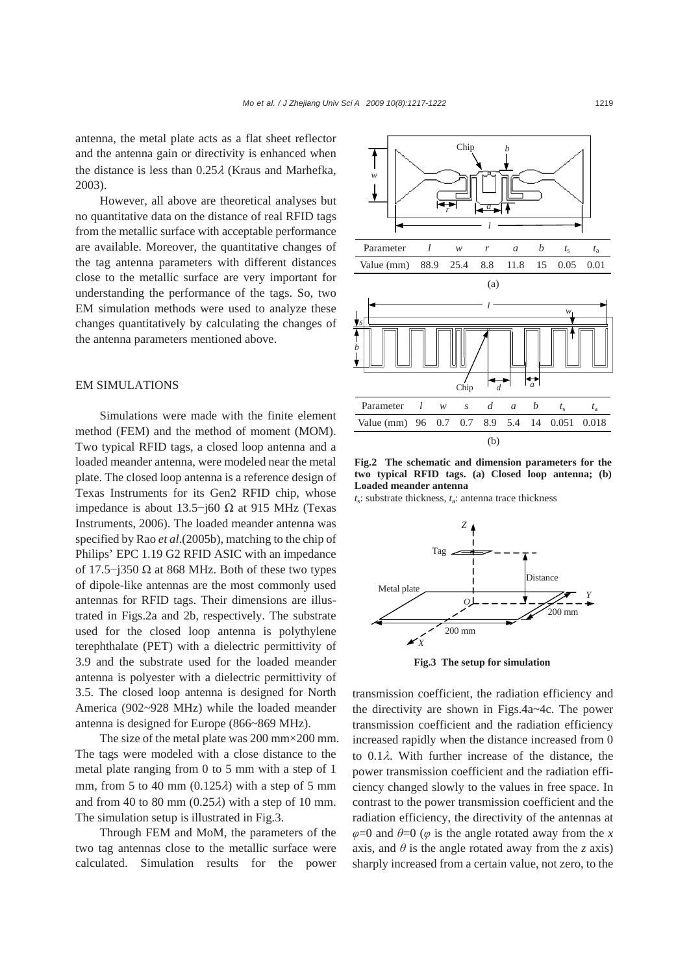antenna, the metal plate acts as a flat sheet reflector and the antenna gain or directivity is enhanced when the distance is less than 0.25λ (Kraus and Marhefka, 2003).

However, all above are theoretical analyses but no quantitative data on the distance of real RFID tags from the metallic surface with acceptable performance are available. Moreover, the quantitative changes of the tag antenna parameters with different distances close to the metallic surface are very important for understanding the performance of the tags. So, two EM simulation methods were used to analyze these changes quantitatively by calculating the changes of the antenna parameters mentioned above.

#### EM SIMULATIONS

Simulations were made with the finite element method (FEM) and the method of moment (MOM). Two typical RFID tags, a closed loop antenna and a loaded meander antenna, were modeled near the metal plate. The closed loop antenna is a reference design of Texas Instruments for its Gen2 RFID chip, whose impedance is about 13.5−j60 Ω at 915 MHz (Texas Instruments, 2006). The loaded meander antenna was specified by Rao *et al*.(2005b), matching to the chip of Philips' EPC 1.19 G2 RFID ASIC with an impedance of 17.5−j350 Ω at 868 MHz. Both of these two types of dipole-like antennas are the most commonly used antennas for RFID tags. Their dimensions are illustrated in Figs.2a and 2b, respectively. The substrate used for the closed loop antenna is polythylene terephthalate (PET) with a dielectric permittivity of 3.9 and the substrate used for the loaded meander antenna is polyester with a dielectric permittivity of 3.5. The closed loop antenna is designed for North America (902~928 MHz) while the loaded meander antenna is designed for Europe (866~869 MHz).

The size of the metal plate was 200 mm×200 mm. The tags were modeled with a close distance to the metal plate ranging from 0 to 5 mm with a step of 1 mm, from 5 to 40 mm  $(0.125\lambda)$  with a step of 5 mm and from 40 to 80 mm  $(0.25\lambda)$  with a step of 10 mm. The simulation setup is illustrated in Fig.3.

Through FEM and MoM, the parameters of the two tag antennas close to the metallic surface were calculated. Simulation results for the power



**Fig.2 The schematic and dimension parameters for the two typical RFID tags. (a) Closed loop antenna; (b) Loaded meander antenna**

*t*s: substrate thickness, *t*a: antenna trace thickness



**Fig.3 The setup for simulation**

transmission coefficient, the radiation efficiency and the directivity are shown in Figs.4a~4c. The power transmission coefficient and the radiation efficiency increased rapidly when the distance increased from 0 to 0.1λ. With further increase of the distance, the power transmission coefficient and the radiation efficiency changed slowly to the values in free space. In contrast to the power transmission coefficient and the radiation efficiency, the directivity of the antennas at  $\varphi$ =0 and  $\theta$ =0 ( $\varphi$  is the angle rotated away from the *x* axis, and  $\theta$  is the angle rotated away from the *z* axis) sharply increased from a certain value, not zero, to the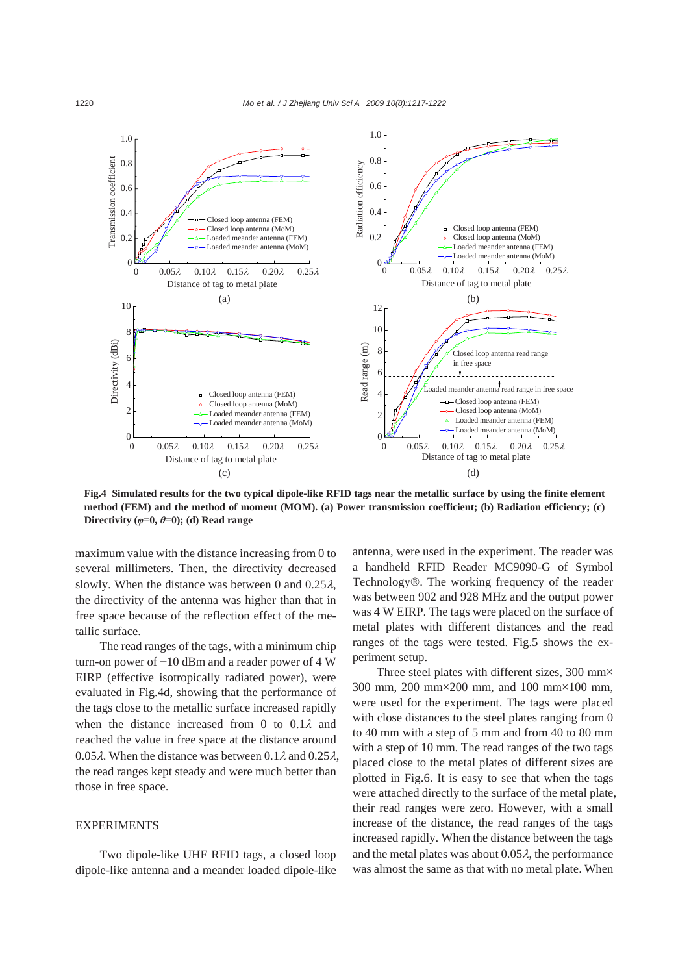

**Fig.4 Simulated results for the two typical dipole-like RFID tags near the metallic surface by using the finite element method (FEM) and the method of moment (MOM). (a) Power transmission coefficient; (b) Radiation efficiency; (c) Directivity** ( $\varphi$ =0,  $\theta$ =0); (d) Read range

maximum value with the distance increasing from 0 to several millimeters. Then, the directivity decreased slowly. When the distance was between 0 and  $0.25\lambda$ , the directivity of the antenna was higher than that in free space because of the reflection effect of the metallic surface.

The read ranges of the tags, with a minimum chip turn-on power of −10 dBm and a reader power of 4 W EIRP (effective isotropically radiated power), were evaluated in Fig.4d, showing that the performance of the tags close to the metallic surface increased rapidly when the distance increased from 0 to  $0.1\lambda$  and reached the value in free space at the distance around 0.05 $\lambda$ . When the distance was between 0.1 $\lambda$  and 0.25 $\lambda$ , the read ranges kept steady and were much better than those in free space.

#### **EXPERIMENTS**

Two dipole-like UHF RFID tags, a closed loop dipole-like antenna and a meander loaded dipole-like

antenna, were used in the experiment. The reader was a handheld RFID Reader MC9090-G of Symbol Technology®. The working frequency of the reader was between 902 and 928 MHz and the output power was 4 W EIRP. The tags were placed on the surface of metal plates with different distances and the read ranges of the tags were tested. Fig.5 shows the experiment setup.

Three steel plates with different sizes, 300 mm $\times$ 300 mm, 200 mm×200 mm, and 100 mm×100 mm, were used for the experiment. The tags were placed with close distances to the steel plates ranging from 0 to 40 mm with a step of 5 mm and from 40 to 80 mm with a step of 10 mm. The read ranges of the two tags placed close to the metal plates of different sizes are plotted in Fig.6. It is easy to see that when the tags were attached directly to the surface of the metal plate, their read ranges were zero. However, with a small increase of the distance, the read ranges of the tags increased rapidly. When the distance between the tags and the metal plates was about  $0.05\lambda$ , the performance was almost the same as that with no metal plate. When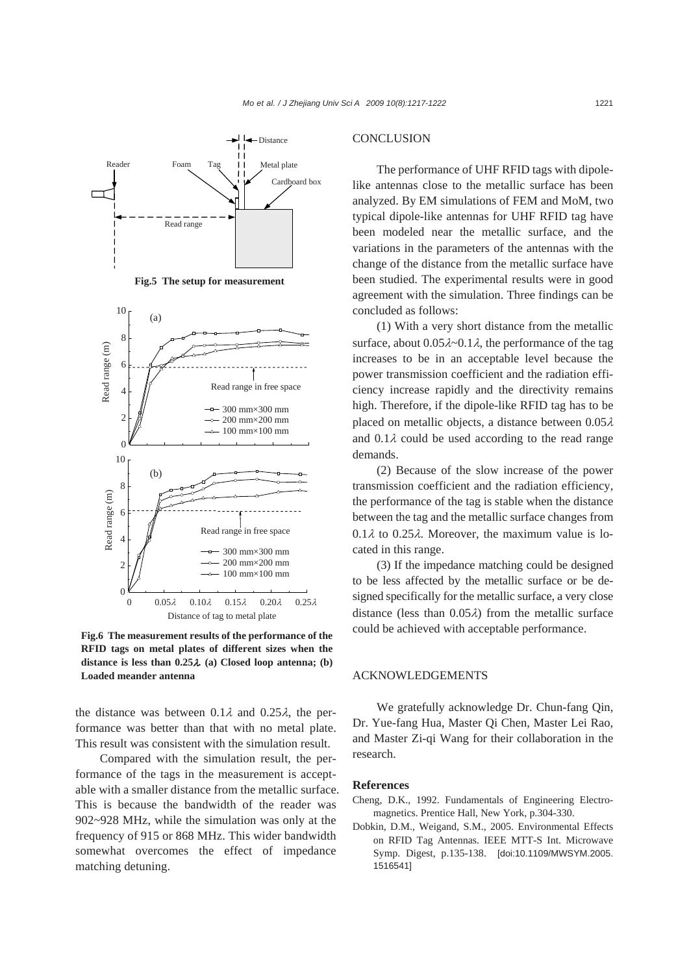

**Fig.6 The measurement results of the performance of the RFID tags on metal plates of different sizes when the distance is less than 0.25**λ*.* **(a) Closed loop antenna; (b) Loaded meander antenna**

the distance was between  $0.1\lambda$  and  $0.25\lambda$ , the performance was better than that with no metal plate. This result was consistent with the simulation result.

Compared with the simulation result, the performance of the tags in the measurement is acceptable with a smaller distance from the metallic surface. This is because the bandwidth of the reader was 902~928 MHz, while the simulation was only at the frequency of 915 or 868 MHz. This wider bandwidth somewhat overcomes the effect of impedance matching detuning.

#### **CONCLUSION**

The performance of UHF RFID tags with dipolelike antennas close to the metallic surface has been analyzed. By EM simulations of FEM and MoM, two typical dipole-like antennas for UHF RFID tag have been modeled near the metallic surface, and the variations in the parameters of the antennas with the change of the distance from the metallic surface have been studied. The experimental results were in good agreement with the simulation. Three findings can be concluded as follows:

(1) With a very short distance from the metallic surface, about  $0.05\lambda \sim 0.1\lambda$ , the performance of the tag increases to be in an acceptable level because the power transmission coefficient and the radiation efficiency increase rapidly and the directivity remains high. Therefore, if the dipole-like RFID tag has to be placed on metallic objects, a distance between  $0.05\lambda$ and  $0.1\lambda$  could be used according to the read range demands.

(2) Because of the slow increase of the power transmission coefficient and the radiation efficiency, the performance of the tag is stable when the distance between the tag and the metallic surface changes from  $0.1\lambda$  to  $0.25\lambda$ . Moreover, the maximum value is located in this range.

(3) If the impedance matching could be designed to be less affected by the metallic surface or be designed specifically for the metallic surface, a very close distance (less than  $0.05\lambda$ ) from the metallic surface could be achieved with acceptable performance.

### ACKNOWLEDGEMENTS

We gratefully acknowledge Dr. Chun-fang Qin, Dr. Yue-fang Hua, Master Qi Chen, Master Lei Rao, and Master Zi-qi Wang for their collaboration in the research.

#### **References**

- Cheng, D.K., 1992. Fundamentals of Engineering Electromagnetics. Prentice Hall, New York, p.304-330.
- Dobkin, D.M., Weigand, S.M., 2005. Environmental Effects on RFID Tag Antennas. IEEE MTT-S Int. Microwave Symp. Digest, p.135-138. [doi:10.1109/MWSYM.2005. 1516541]